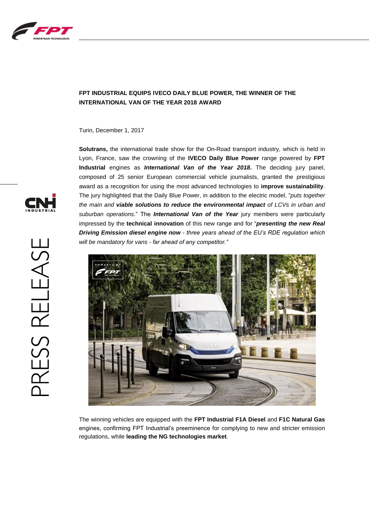

## **FPT INDUSTRIAL EQUIPS IVECO DAILY BLUE POWER, THE WINNER OF THE INTERNATIONAL VAN OF THE YEAR 2018 AWARD**

Turin, December 1, 2017

**Solutrans,** the international trade show for the On-Road transport industry, which is held in Lyon, France, saw the crowning of the **IVECO Daily Blue Power** range powered by **FPT Industrial** engines as *International Van of the Year 2018***.** The deciding jury panel, composed of 25 senior European commercial vehicle journalists, granted the prestigious award as a recognition for using the most advanced technologies to **improve sustainability**. The jury highlighted that the Daily Blue Power, in addition to the electric model, "*puts together the main and viable solutions to reduce the environmental impact of LCVs in urban and suburban operations.*" The *International Van of the Year* jury members were particularly impressed by the **technical innovation** of this new range and for "*presenting the new Real Driving Emission diesel engine now - three years ahead of the EU's RDE regulation which will be mandatory for vans - far ahead of any competitor."*



The winning vehicles are equipped with the **FPT Industrial F1A Diesel** and **F1C Natural Gas**  engines, confirming FPT Industrial's preeminence for complying to new and stricter emission regulations, while **leading the NG technologies market**.

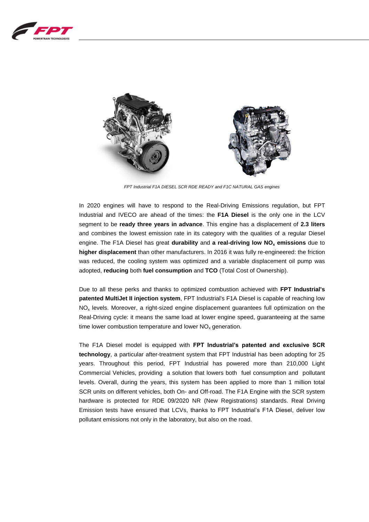



*FPT Industrial F1A DIESEL SCR RDE READY and F1C NATURAL GAS engines*

In 2020 engines will have to respond to the Real-Driving Emissions regulation, but FPT Industrial and IVECO are ahead of the times: the **F1A Diesel** is the only one in the LCV segment to be **ready three years in advance**. This engine has a displacement of **2.3 liters** and combines the lowest emission rate in its category with the qualities of a regular Diesel engine. The F1A Diesel has great **durability** and **a real-driving low NO<sup>x</sup> emissions** due to **higher displacement** than other manufacturers. In 2016 it was fully re-engineered: the friction was reduced, the cooling system was optimized and a variable displacement oil pump was adopted, **reducing** both **fuel consumption** and **TCO** (Total Cost of Ownership).

Due to all these perks and thanks to optimized combustion achieved with **FPT Industrial's patented MultiJet II injection system**, FPT Industrial's F1A Diesel is capable of reaching low  $NO<sub>x</sub>$  levels. Moreover, a right-sized engine displacement guarantees full optimization on the Real-Driving cycle: it means the same load at lower engine speed, guaranteeing at the same time lower combustion temperature and lower  $NO<sub>x</sub>$  generation.

The F1A Diesel model is equipped with **FPT Industrial's patented and exclusive SCR technology**, a particular after-treatment system that FPT Industrial has been adopting for 25 years. Throughout this period, FPT Industrial has powered more than 210,000 Light Commercial Vehicles, providing a solution that lowers both fuel consumption and pollutant levels. Overall, during the years, this system has been applied to more than 1 million total SCR units on different vehicles, both On- and Off-road. The F1A Engine with the SCR system hardware is protected for RDE 09/2020 NR (New Registrations) standards. Real Driving Emission tests have ensured that LCVs, thanks to FPT Industrial's F1A Diesel, deliver low pollutant emissions not only in the laboratory, but also on the road.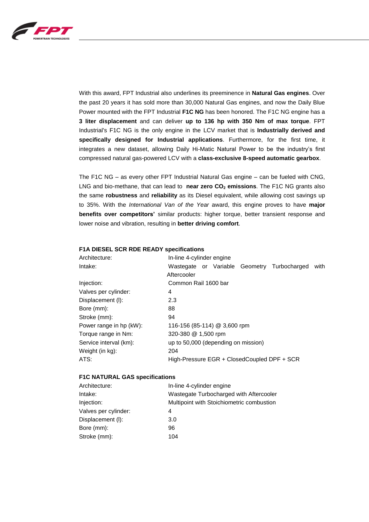

With this award, FPT Industrial also underlines its preeminence in **Natural Gas engines**. Over the past 20 years it has sold more than 30,000 Natural Gas engines, and now the Daily Blue Power mounted with the FPT Industrial **F1C NG** has been honored. The F1C NG engine has a **3 liter displacement** and can deliver **up to 136 hp with 350 Nm of max torque**. FPT Industrial's F1C NG is the only engine in the LCV market that is **Industrially derived and specifically designed for Industrial applications**. Furthermore, for the first time, it integrates a new dataset, allowing Daily Hi-Matic Natural Power to be the industry's first compressed natural gas-powered LCV with a **class-exclusive 8-speed automatic gearbox**.

The F1C NG – as every other FPT Industrial Natural Gas engine – can be fueled with CNG, LNG and bio-methane, that can lead to **near zero CO<sup>2</sup> emissions**. The F1C NG grants also the same **robustness** and **reliability** as its Diesel equivalent, while allowing cost savings up to 35%. With the *International Van of the Year* award, this engine proves to have **major benefits over competitors'** similar products: higher torque, better transient response and lower noise and vibration, resulting in **better driving comfort**.

| Architecture:           | In-line 4-cylinder engine                                             |
|-------------------------|-----------------------------------------------------------------------|
| Intake:                 | Wastegate or Variable Geometry<br>Turbocharged<br>with<br>Aftercooler |
| Injection:              | Common Rail 1600 bar                                                  |
| Valves per cylinder:    | 4                                                                     |
| Displacement (I):       | 2.3                                                                   |
| Bore (mm):              | 88                                                                    |
| Stroke (mm):            | 94                                                                    |
| Power range in hp (kW): | 116-156 (85-114) @ 3,600 rpm                                          |
| Torque range in Nm:     | 320-380 @ 1,500 rpm                                                   |
| Service interval (km):  | up to 50,000 (depending on mission)                                   |
| Weight (in kg):         | 204                                                                   |
| ATS:                    | High-Pressure EGR + ClosedCoupled DPF + SCR                           |
|                         |                                                                       |

## **F1A DIESEL SCR RDE READY specifications**

## **F1C NATURAL GAS specifications**

| Architecture:        | In-line 4-cylinder engine                 |
|----------------------|-------------------------------------------|
| Intake:              | Wastegate Turbocharged with Aftercooler   |
| Injection:           | Multipoint with Stoichiometric combustion |
| Valves per cylinder: | 4                                         |
| Displacement (I):    | 3.0                                       |
| Bore (mm):           | 96                                        |
| Stroke (mm):         | 104                                       |
|                      |                                           |